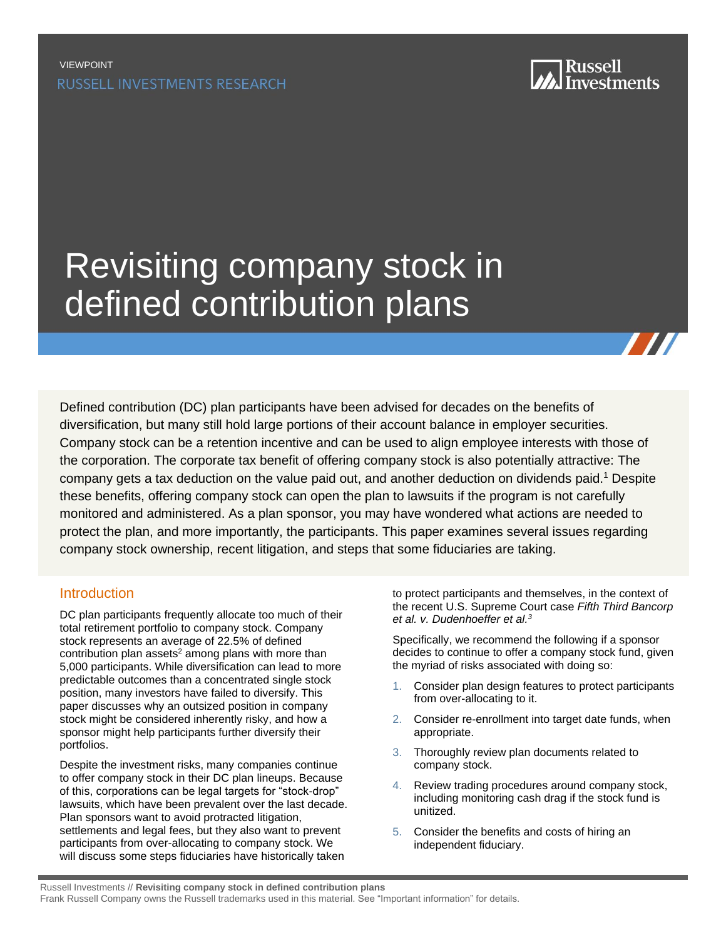

# [Revisiting company stock in](https://russellinvestments.com/us/solutions/institutions/?utm_source=PDF&utm_medium=direct)  defined contribution plans

Defined contribution (DC) plan participants have been advised for decades on the benefits of diversification, but many still hold large portions of their account balance in employer securities. Company stock can be a retention incentive and can be used to align employee interests with those of the corporation. The corporate tax benefit of offering company stock is also potentially attractive: The company gets a tax deduction on the value paid out, and another deduction on dividends paid.<sup>1</sup> Despite these benefits, offering company stock can open the plan to lawsuits if the program is not carefully monitored and administered. As a plan sponsor, you may have wondered what actions are needed to protect the plan, and more importantly, the participants. This paper examines several issues regarding company stock ownership, recent litigation, and steps that some fiduciaries are taking.

## Introduction

DC plan participants frequently allocate too much of their total retirement portfolio to company stock. Company stock represents an average of 22.5% of defined contribution plan assets $2$  among plans with more than 5,000 participants. While diversification can lead to more predictable outcomes than a concentrated single stock position, many investors have failed to diversify. This paper discusses why an outsized position in company stock might be considered inherently risky, and how a sponsor might help participants further diversify their portfolios.

Despite the investment risks, many companies continue to offer company stock in their DC plan lineups. Because of this, corporations can be legal targets for "stock-drop" lawsuits, which have been prevalent over the last decade. Plan sponsors want to avoid protracted litigation, settlements and legal fees, but they also want to prevent participants from over-allocating to company stock. We will discuss some steps fiduciaries have historically taken

to protect participants and themselves, in the context of the recent U.S. Supreme Court case *Fifth Third Bancorp et al. v. Dudenhoeffer et al. 3*

Specifically, we recommend the following if a sponsor decides to continue to offer a company stock fund, given the myriad of risks associated with doing so:

- 1. Consider plan design features to protect participants from over-allocating to it.
- 2. Consider re-enrollment into target date funds, when appropriate.
- 3. Thoroughly review plan documents related to company stock.
- 4. Review trading procedures around company stock, including monitoring cash drag if the stock fund is unitized.
- 5. Consider the benefits and costs of hiring an independent fiduciary.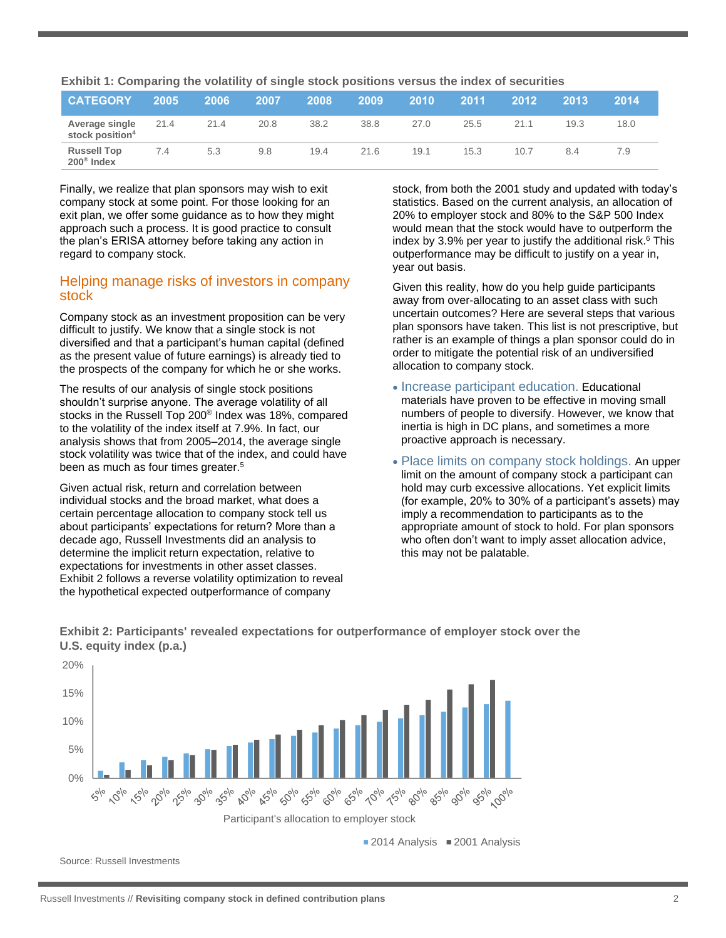| Exhibit 1: Comparing the volatility of single stock positions versus the index of securities |  |  |
|----------------------------------------------------------------------------------------------|--|--|
|----------------------------------------------------------------------------------------------|--|--|

<span id="page-1-0"></span>

| <b>CATEGORY</b>                               | 2005 | 2006 | 2007 | 2008 | 2009 | 2010 | 2011 | 2012 | 2013 | 2014 |
|-----------------------------------------------|------|------|------|------|------|------|------|------|------|------|
| Average single<br>stock position <sup>4</sup> | 21.4 | 21.4 | 20.8 | 38.2 | 38.8 | 27.0 | 25.5 | 21.1 | 19.3 | 18.0 |
| <b>Russell Top</b><br>200 <sup>®</sup> Index  | 7.4  | 5.3  | 9.8  | 19.4 | 21.6 | 19.1 | 15.3 | 10.7 | 8.4  | 7.9  |

Finally, we realize that plan sponsors may wish to exit company stock at some point. For those looking for an exit plan, we offer some guidance as to how they might approach such a process. It is good practice to consult the plan's ERISA attorney before taking any action in regard to company stock.

#### Helping manage risks of investors in company stock

Company stock as an investment proposition can be very difficult to justify. We know that a single stock is not diversified and that a participant's human capital (defined as the present value of future earnings) is already tied to the prospects of the company for which he or she works.

The results of our analysis of single stock positions shouldn't surprise anyone. The average volatility of all stocks in the Russell Top 200® Index was 18%, compared to the volatility of the index itself at 7.9%. In fact, our analysis shows that from 2005–2014, the average single stock volatility was twice that of the index, and could have been as much as four times greater.<sup>5</sup>

Given actual risk, return and correlation between individual stocks and the broad market, what does a certain percentage allocation to company stock tell us about participants' expectations for return? More than a decade ago, Russell Investments did an analysis to determine the implicit return expectation, relative to expectations for investments in other asset classes. Exhibit 2 follows a reverse volatility optimization to reveal the hypothetical expected outperformance of company

stock, from both the 2001 study and updated with today's statistics. Based on the current analysis, an allocation of 20% to employer stock and 80% to the S&P 500 Index would mean that the stock would have to outperform the index by 3.9% per year to justify the additional risk. $6$  This outperformance may be difficult to justify on a year in, year out basis.

Given this reality, how do you help guide participants away from over-allocating to an asset class with such uncertain outcomes? Here are several steps that various plan sponsors have taken. This list is not prescriptive, but rather is an example of things a plan sponsor could do in order to mitigate the potential risk of an undiversified allocation to company stock.

- Increase participant education. Educational materials have proven to be effective in moving small numbers of people to diversify. However, we know that inertia is high in DC plans, and sometimes a more proactive approach is necessary.
- Place limits on company stock holdings. An upper limit on the amount of company stock a participant can hold may curb excessive allocations. Yet explicit limits (for example, 20% to 30% of a participant's assets) may imply a recommendation to participants as to the appropriate amount of stock to hold. For plan sponsors who often don't want to imply asset allocation advice, this may not be palatable.



**Exhibit 2: Participants' revealed expectations for outperformance of employer stock over the U.S. equity index (p.a.)**

Source: Russell Investments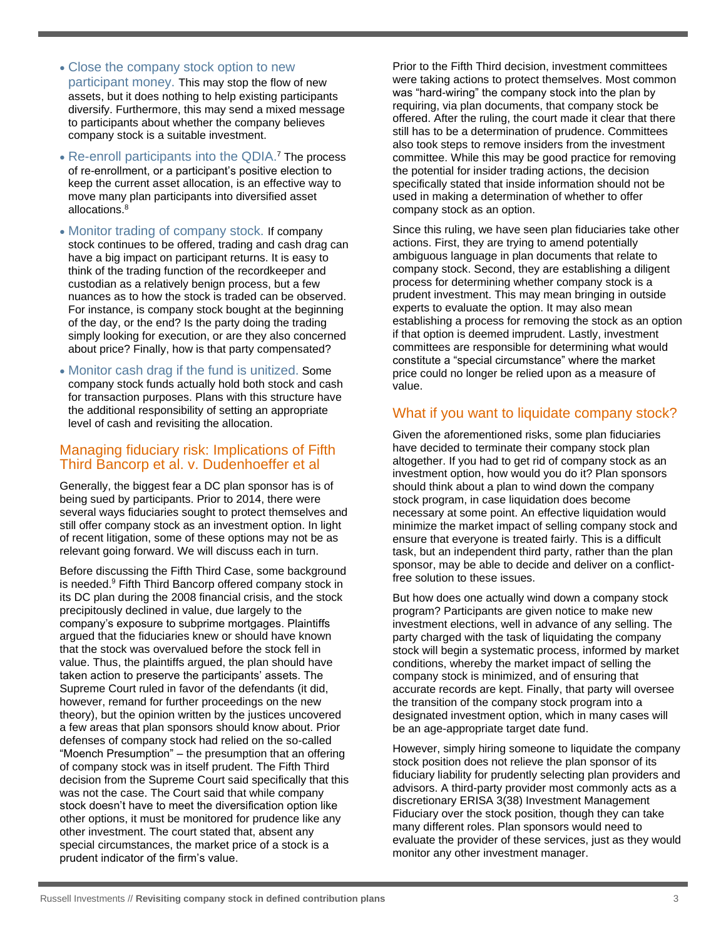- Close the company stock option to new participant money. This may stop the flow of new assets, but it does nothing to help existing participants diversify. Furthermore, this may send a mixed message to participants about whether the company believes company stock is a suitable investment.
- Re-enroll participants into the QDIA.<sup>7</sup> The process of re-enrollment, or a participant's positive election to keep the current asset allocation, is an effective way to move many plan participants into diversified asset allocations.<sup>8</sup>
- Monitor trading of company stock. If company stock continues to be offered, trading and cash drag can have a big impact on participant returns. It is easy to think of the trading function of the recordkeeper and custodian as a relatively benign process, but a few nuances as to how the stock is traded can be observed. For instance, is company stock bought at the beginning of the day, or the end? Is the party doing the trading simply looking for execution, or are they also concerned about price? Finally, how is that party compensated?
- Monitor cash drag if the fund is unitized. Some company stock funds actually hold both stock and cash for transaction purposes. Plans with this structure have the additional responsibility of setting an appropriate level of cash and revisiting the allocation.

### Managing fiduciary risk: Implications of Fifth Third Bancorp et al. v. Dudenhoeffer et al

Generally, the biggest fear a DC plan sponsor has is of being sued by participants. Prior to 2014, there were several ways fiduciaries sought to protect themselves and still offer company stock as an investment option. In light of recent litigation, some of these options may not be as relevant going forward. We will discuss each in turn.

Before discussing the Fifth Third Case, some background is needed.<sup>9</sup> Fifth Third Bancorp offered company stock in its DC plan during the 2008 financial crisis, and the stock precipitously declined in value, due largely to the company's exposure to subprime mortgages. Plaintiffs argued that the fiduciaries knew or should have known that the stock was overvalued before the stock fell in value. Thus, the plaintiffs argued, the plan should have taken action to preserve the participants' assets. The Supreme Court ruled in favor of the defendants (it did, however, remand for further proceedings on the new theory), but the opinion written by the justices uncovered a few areas that plan sponsors should know about. Prior defenses of company stock had relied on the so-called "Moench Presumption" – the presumption that an offering of company stock was in itself prudent. The Fifth Third decision from the Supreme Court said specifically that this was not the case. The Court said that while company stock doesn't have to meet the diversification option like other options, it must be monitored for prudence like any other investment. The court stated that, absent any special circumstances, the market price of a stock is a prudent indicator of the firm's value.

Prior to the Fifth Third decision, investment committees were taking actions to protect themselves. Most common was "hard-wiring" the company stock into the plan by requiring, via plan documents, that company stock be offered. After the ruling, the court made it clear that there still has to be a determination of prudence. Committees also took steps to remove insiders from the investment committee. While this may be good practice for removing the potential for insider trading actions, the decision specifically stated that inside information should not be used in making a determination of whether to offer company stock as an option.

Since this ruling, we have seen plan fiduciaries take other actions. First, they are trying to amend potentially ambiguous language in plan documents that relate to company stock. Second, they are establishing a diligent process for determining whether company stock is a prudent investment. This may mean bringing in outside experts to evaluate the option. It may also mean establishing a process for removing the stock as an option if that option is deemed imprudent. Lastly, investment committees are responsible for determining what would constitute a "special circumstance" where the market price could no longer be relied upon as a measure of value.

# What if you want to liquidate company stock?

Given the aforementioned risks, some plan fiduciaries have decided to terminate their company stock plan altogether. If you had to get rid of company stock as an investment option, how would you do it? Plan sponsors should think about a plan to wind down the company stock program, in case liquidation does become necessary at some point. An effective liquidation would minimize the market impact of selling company stock and ensure that everyone is treated fairly. This is a difficult task, but an independent third party, rather than the plan sponsor, may be able to decide and deliver on a conflictfree solution to these issues.

But how does one actually wind down a company stock program? Participants are given notice to make new investment elections, well in advance of any selling. The party charged with the task of liquidating the company stock will begin a systematic process, informed by market conditions, whereby the market impact of selling the company stock is minimized, and of ensuring that accurate records are kept. Finally, that party will oversee the transition of the company stock program into a designated investment option, which in many cases will be an age-appropriate target date fund.

However, simply hiring someone to liquidate the company stock position does not relieve the plan sponsor of its fiduciary liability for prudently selecting plan providers and advisors. A third-party provider most commonly acts as a discretionary ERISA 3(38) Investment Management Fiduciary over the stock position, though they can take many different roles. Plan sponsors would need to evaluate the provider of these services, just as they would monitor any other investment manager.